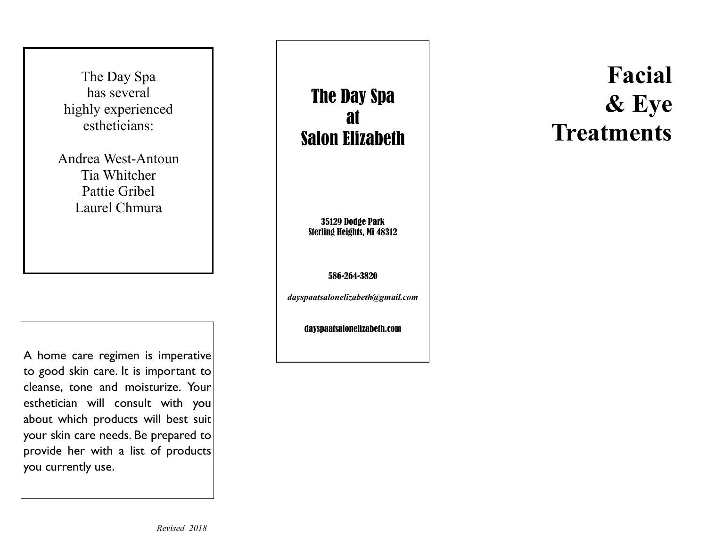The Day Spa has several highly experienced estheticians:

Andrea West-Antoun Tia Whitcher Pattie Gribel Laurel Chmura

A home care regimen is imperative to good skin care. It is important to cleanse, tone and moisturize. Your esthetician will consult with you about which products will best suit your skin care needs. Be prepared to provide her with a list of products you currently use.

*Revised 2018* 

The Day Spa at Salon Elizabeth

35129 Dodge Park Sterling Heights, Mi 48312

586-264-3820

*dayspaatsalonelizabeth@gmail.com* 

dayspaatsalonelizabeth.com

# **Facial & Eye Treatments**